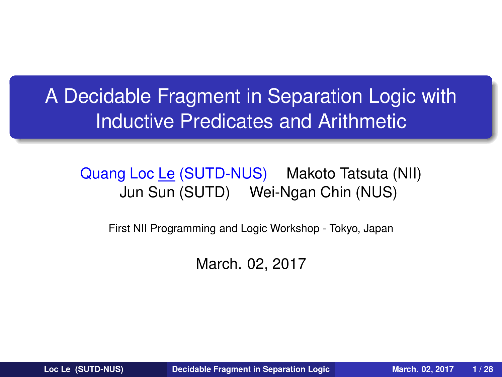A Decidable Fragment in Separation Logic with Inductive Predicates and Arithmetic

## Quang Loc Le (SUTD-NUS) Makoto Tatsuta (NII) Jun Sun (SUTD) Wei-Ngan Chin (NUS)

First NII Programming and Logic Workshop - Tokyo, Japan

<span id="page-0-0"></span>March. 02, 2017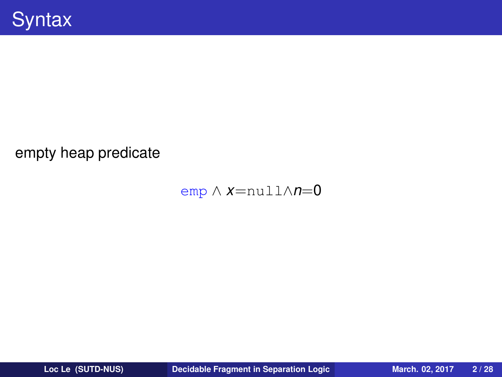empty heap predicate

emp ∧ *x*=null∧*n*=0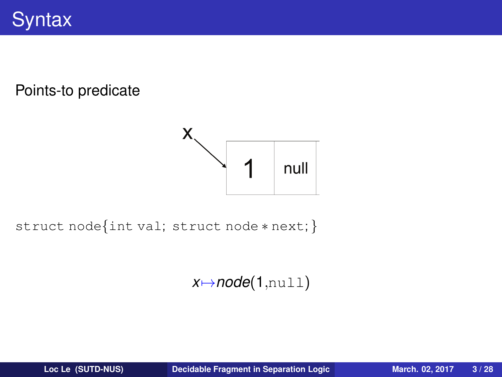### Points-to predicate



struct node{int val; struct node ∗ next; }

*x*→*node*(1,null)

**Loc Le (SUTD-NUS) [Decidable Fragment in Separation Logic](#page-0-0) March. 02, 2017 3 / 28**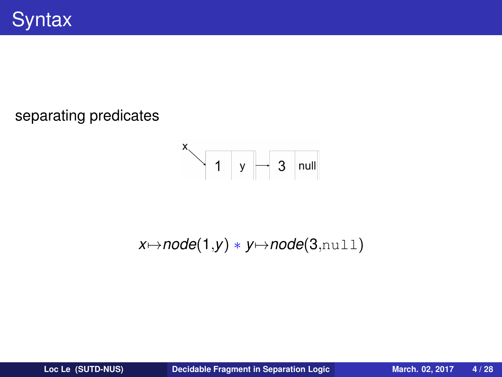separating predicates



## $x \mapsto node(1,y) * y \mapsto node(3, \text{null})$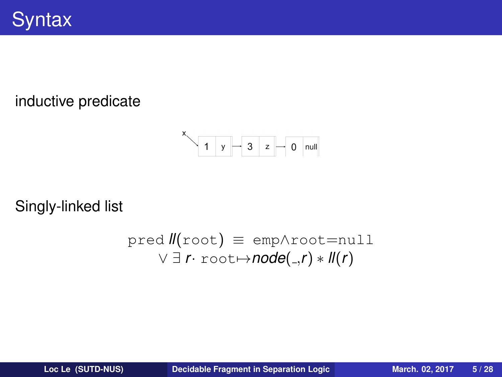

### inductive predicate

$$
\begin{array}{c|c|c|c|c|c|c|c|c} \hline \text{X} & \text{Y} & \text{Y} & \text{Y} & \text{Z} & \text{Y} & \text{null} \end{array}
$$

Singly-linked list

$$
\text{pred } \mathit{II}(\text{root}) \equiv \text{emp} \land \text{root} = \text{null} \\ \lor \exists \, r \cdot \text{root} \mapsto \text{node}(\_,r) * \mathit{II}(r)
$$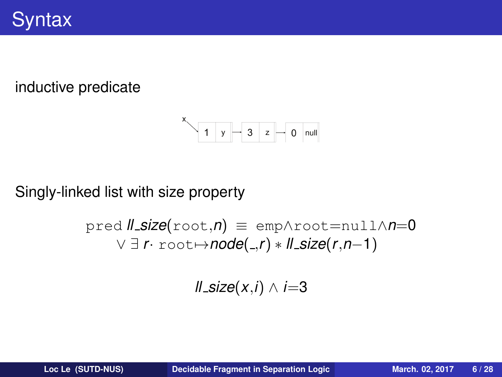inductive predicate

$$
\begin{array}{c|c|c|c|c|c|c|c|c} \hline \text{X} & \text{Y} & \text{Y} & \text{Y} & \text{Z} & \text{Z} & \text{null} \\ \hline \end{array}
$$

Singly-linked list with size property

$$
\text{pred } \textit{ll\_size}(\text{root}, n) \equiv \text{emp} \land \text{root} = \text{null} \land n = 0
$$
\n
$$
\lor \exists r \cdot \text{root} \rightarrow \text{node}(\_,r) * \textit{ll\_size}(r, n-1)
$$

*ll size*(*x*,*i*) ∧ *i*=3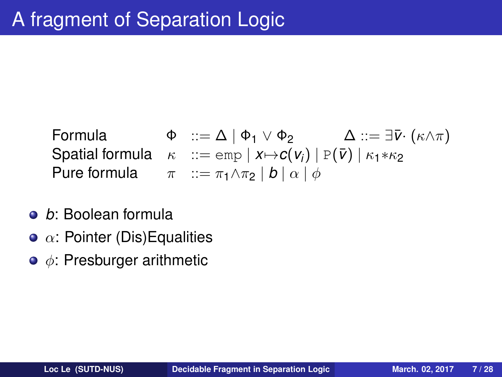- Formula  $Φ$  ::= Δ | Φ<sub>1</sub> ∨ Φ<sub>2</sub>  $Δ$  ::= ∃ $ν̄$ <sup>*v*</sup> (κ∧π) Spatial formula  $\kappa$  ::= emp  $| x \mapsto c(v_i) | P(\bar{v}) | \kappa_1 * \kappa_2$ Pure formula  $\pi$  ::=  $\pi_1 \wedge \pi_2 |b| \alpha | \phi$
- *b*: Boolean formula
- $\bullet$   $\alpha$ : Pointer (Dis) Equalities
- $\bullet \phi$ : Presburger arithmetic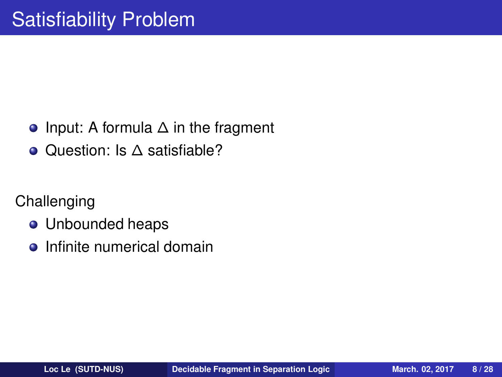- Input: A formula ∆ in the fragment
- Question: Is ∆ satisfiable?

**Challenging** 

- **•** Unbounded heaps
- Infinite numerical domain  $\bullet$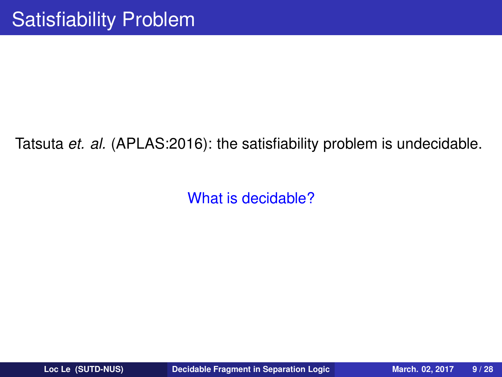### Tatsuta *et. al.* (APLAS:2016): the satisfiability problem is undecidable.

What is decidable?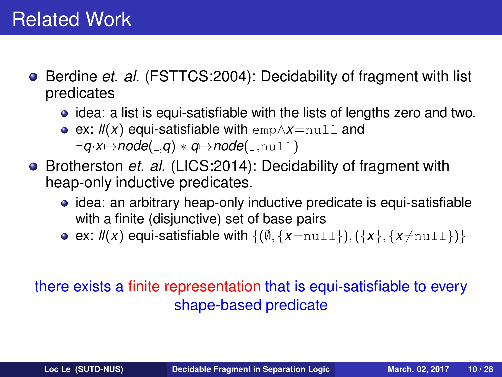## Related Work

- **•** Berdine *et. al.* (FSTTCS:2004): Decidability of fragment with list predicates
	- idea: a list is equi-satisfiable with the lists of lengths zero and two.
	- ex: *ll*(*x*) equi-satisfiable with emp∧*x*=null and  $\exists q \cdot x \mapsto node(...,q) * q \mapsto node(...,null)$
- **•** Brotherston *et. al.* (LICS:2014): Decidability of fragment with heap-only inductive predicates.
	- idea: an arbitrary heap-only inductive predicate is equi-satisfiable with a finite (disjunctive) set of base pairs
	- ex:  $\mathcal{U}(x)$  equi-satisfiable with  $\{(\emptyset, \{x = \text{null}\}), (\{x\}, \{x \neq \text{null}\})\}$

## there exists a finite representation that is equi-satisfiable to every shape-based predicate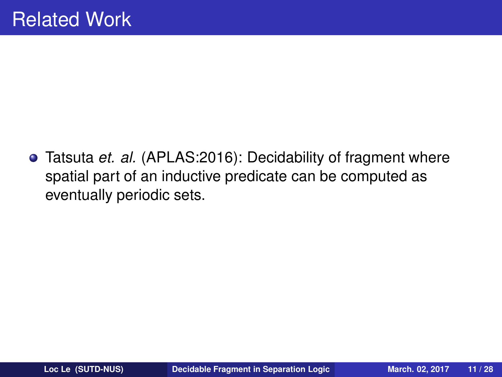Tatsuta *et. al.* (APLAS:2016): Decidability of fragment where spatial part of an inductive predicate can be computed as eventually periodic sets.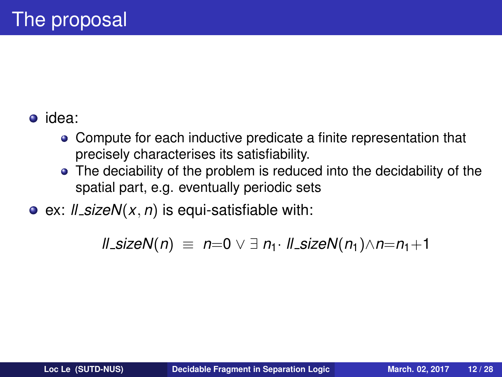### o idea:

- Compute for each inductive predicate a finite representation that precisely characterises its satisfiability.
- The deciability of the problem is reduced into the decidability of the spatial part, e.g. eventually periodic sets
- $\bullet$  ex: *ll\_sizeN(x, n)* is equi-satisfiable with:

 $ll$  *sizeN*(*n*)  $\equiv$  *n*=0  $\vee$   $\exists$  *n*<sub>1</sub>·  $ll$  *sizeN*(*n*<sub>1</sub>) $\wedge$ *n*=*n*<sub>1</sub>+1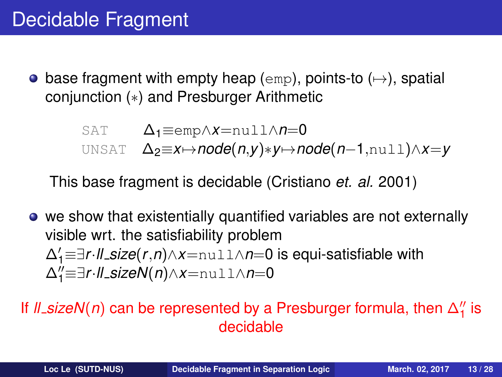• base fragment with empty heap (emp), points-to  $(\rightarrow)$ , spatial conjunction (∗) and Presburger Arithmetic

> SAT ∆1≡emp∧*x*=null∧*n*=0 UNSAT ∆2≡*x*7→*node*(*n*,*y*)∗*y*7→*node*(*n*−1,null)∧*x*=*y*

This base fragment is decidable (Cristiano *et. al.* 2001)

we show that existentially quantified variables are not externally visible wrt. the satisfiability problem ∆′ <sup>1</sup>≡∃*r*·*ll size*(*r*,*n*)∧*x*=null∧*n*=0 is equi-satisfiable with ∆′′ <sup>1</sup>≡∃*r*·*ll sizeN*(*n*)∧*x*=null∧*n*=0

## If  $ll\_sizeN(n)$  can be represented by a Presburger formula, then  $\Delta_1''$  is decidable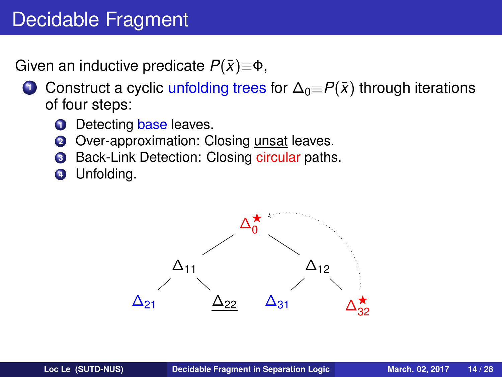Given an inductive predicate  $P(\bar{x})\equiv\Phi$ ,

- **1** Construct a cyclic unfolding trees for  $\Delta_0 \equiv P(\bar{x})$  through iterations of four steps:
	- **1** Detecting base leaves.
	- **2** Over-approximation: Closing unsat leaves.
	- **3** Back-Link Detection: Closing circular paths.
	- **<sup>4</sup>** Unfolding.

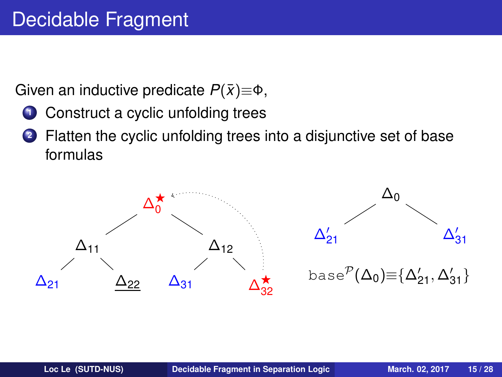### Given an inductive predicate  $P(\bar{x}) \equiv \Phi$ ,

- **1** Construct a cyclic unfolding trees
- **<sup>2</sup>** Flatten the cyclic unfolding trees into a disjunctive set of base formulas

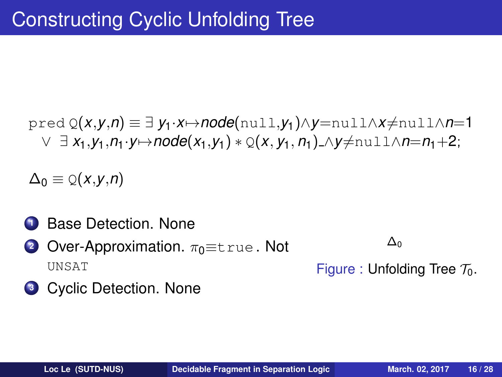$\text{pred } Q(x,y,n) \equiv \exists y_1 \cdot x \mapsto node(n \text{ul}, y_1) \wedge y = null \wedge x \neq null \wedge n = 1$ ∨ ∃ *x*1,*y*1,*n*1·*y*7→*node*(*x*1,*y*1) ∗ Q(*x*, *y*1, *n*1) ∧*y*6=null∧*n*=*n*1+2;

 $\Delta_0 \equiv \mathcal{Q}(x,y,n)$ 

- **<sup>1</sup>** Base Detection. None
- **2** Over-Approximation. π<sub>0</sub>≡true. Not UNSAT
- **<sup>3</sup>** Cyclic Detection. None

Figure : Unfolding Tree  $\mathcal{T}_0$ .

∆0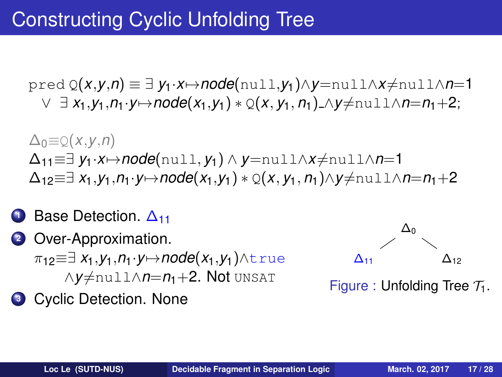$\text{pred } Q(x,y,n) \equiv \exists y_1 \cdot x \mapsto node(\text{null}, y_1) \wedge y = \text{null} \wedge x \neq \text{null} \wedge n = 1$ ∨ ∃ *x*1,*y*1,*n*1·*y*7→*node*(*x*1,*y*1) ∗ Q(*x*, *y*1, *n*1) ∧*y*6=null∧*n*=*n*1+2;

 $\Delta$ <sup>0≡</sup>Q(*x*,*y*,*n*)  $\Delta_{11} \equiv \exists y_1 \cdot x \mapsto node(n \text{ul}, y_1) \wedge y = null \wedge x \neq null \wedge n = 1$  $\Delta_{12} \equiv \exists x_1, y_1, n_1 \cdot y \mapsto node(x_1, y_1) * Q(x, y_1, n_1) \wedge y \neq null \wedge n = n_1 + 2$ 

- Base Detection.  $\Delta$ <sub>11</sub>
- **<sup>2</sup>** Over-Approximation. π12≡∃ *x*1,*y*1,*n*1·*y*7→*node*(*x*1,*y*1)∧true ∧*y*6=null∧*n*=*n*1+2. Not UNSAT
- **<sup>3</sup>** Cyclic Detection. None



Figure : Unfolding Tree  $\mathcal{T}_1$ .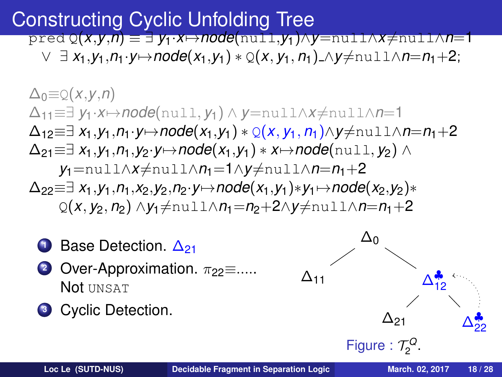## Constructing Cyclic Unfolding Tree

 $\text{pred } Q(x,y,n) \equiv \exists y_1 \cdot x \mapsto node(n \text{u11},y_1) \wedge y = \text{nul1} \wedge x \neq \text{nul1} \wedge n = 1$ ∨ ∃ *x*1,*y*1,*n*1·*y*7→*node*(*x*1,*y*1) ∗ Q(*x*, *y*1, *n*1) ∧*y*6=null∧*n*=*n*1+2;

$$
\Delta_0 \equiv \mathbf{Q}(x, y, n)
$$
\n
$$
\Delta_{11} \equiv \exists y_1 \cdot x \mapsto node(n \text{u1}, y_1) \land y = \text{null} \land x \neq \text{null} \land n = 1
$$
\n
$$
\Delta_{12} \equiv \exists x_1, y_1, n_1 \cdot y \mapsto node(x_1, y_1) * \mathbf{Q}(x, y_1, n_1) \land y \neq \text{null} \land n = n_1 + 2
$$
\n
$$
\Delta_{21} \equiv \exists x_1, y_1, n_1, y_2 \cdot y \mapsto node(x_1, y_1) * x \mapsto node(\text{null}, y_2) \land y_1 = \text{null} \land x \neq \text{null} \land n = 1 \land y \neq \text{null} \land n = n_1 + 2
$$
\n
$$
\Delta_{22} \equiv \exists x_1, y_1, n_1, x_2, y_2, n_2 \cdot y \mapsto node(x_1, y_1) * y_1 \mapsto node(x_2, y_2) * \mathbf{Q}(x, y_2, n_2) \land y_1 \neq \text{null} \land n = n_2 + 2 \land y \neq \text{null} \land n = n_1 + 2
$$

$$
•
$$
 Base Detection.  $\Delta_{21}$ 

- **2** Over-Approximation. π<sub>22</sub>≡..... Not UNSAT
- **<sup>3</sup>** Cyclic Detection.

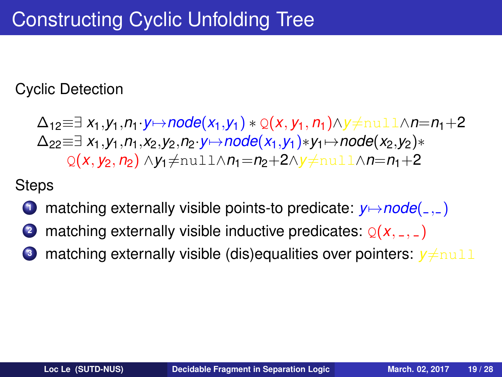Cyclic Detection

 $\Delta_{12} \equiv \exists x_1, y_1, n_1 \cdot y \mapsto node(x_1, y_1) * Q(x, y_1, n_1) \wedge y \neq null \wedge n = n_1 + 2$  $\Delta_{22} \equiv \exists x_1, y_1, n_1, x_2, y_2, n_2 \cdot y \mapsto node(x_1, y_1) * y_1 \mapsto node(x_2, y_2) *$ Q(*x*, *y*<sub>2</sub>, *n*<sub>2</sub>) ∧*y*<sub>1</sub> ≠null∧*n*<sub>1</sub>=*n*<sub>2</sub>+2∧*y* ≠null∧*n*=*n*<sub>1</sub>+2

**Steps** 

- **1** matching externally visible points-to predicate:  $y \mapsto node(\_ \cdot \_ )$
- **2** matching externally visible inductive predicates:  $Q(X, z, z)$
- **3** matching externally visible (dis)equalities over pointers:  $y \neq null$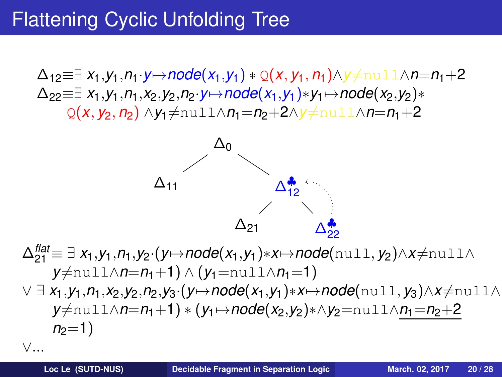# Flattening Cyclic Unfolding Tree

 $\Delta_{12} \equiv \exists x_1, y_1, n_1 \cdot y \mapsto node(x_1, y_1) * Q(x, y_1, n_1) \wedge y \neq null \wedge n = n_1 + 2$  $\Delta_{22} \equiv \exists x_1, y_1, n_1, x_2, y_2, n_2 \cdot y \mapsto node(x_1, y_1) * y_1 \mapsto node(x_2, y_2) *$ Q(*x*, *y*<sub>2</sub>, *n*<sub>2</sub>) ∧*y*<sub>1</sub>≠null∧*n*<sub>1</sub>=*n*<sub>2</sub>+2∧*y*≠null∧*n*=*n*<sub>1</sub>+2



∆*flat* <sup>21</sup> ≡ ∃ *x*1,*y*1,*n*1,*y*2·(*y*7→*node*(*x*1,*y*1)∗*x*7→*node*(null, *y*2)∧*x*6=null∧ *y*≠null∧*n*=*n*<sub>1</sub>+1) ∧ (*y*<sub>1</sub>=null∧*n*<sub>1</sub>=1)

- ∨ ∃ *x*1,*y*1,*n*1,*x*2,*y*2,*n*2,*y*3·(*y*7→*node*(*x*1,*y*1)∗*x*7→*node*(null, *y*3)∧*x*6=null∧ *y* $\neq$ null∧*n*=*n*<sub>1</sub>+1) ∗ (*y*<sub>1</sub>→*node*(*x*<sub>2</sub>,*y*<sub>2</sub>)∗∧*y*<sub>2</sub>=null∧*n*<sub>1</sub>=*n*<sub>2</sub>+2  $n_2=1$ )
- ∨...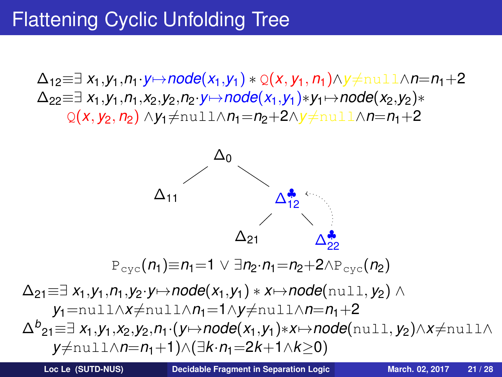# Flattening Cyclic Unfolding Tree

 $\Delta_{12} \equiv \exists x_1, y_1, n_1 \cdot y \mapsto node(x_1, y_1) * Q(x, y_1, n_1) \wedge y \neq null \wedge n = n_1 + 2$ ∆22≡∃ *x*1,*y*1,*n*1,*x*2,*y*2,*n*2·*y*7→*node*(*x*1,*y*1)∗*y*17→*node*(*x*2,*y*2)∗ Q(*x*, *y*<sub>2</sub>, *n*<sub>2</sub>) ∧*y*<sub>1</sub>≠null∧*n*<sub>1</sub>=*n*<sub>2</sub>+2∧*y*≠null∧*n*=*n*<sub>1</sub>+2

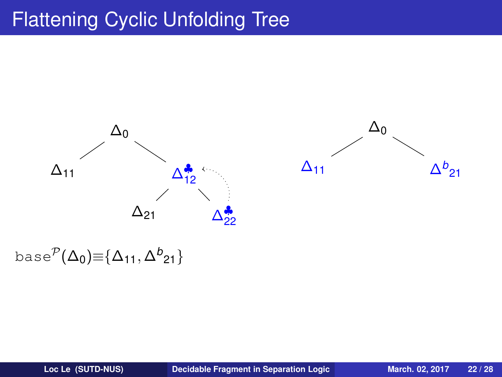## Flattening Cyclic Unfolding Tree





base $^{\mathcal{P}}(\Delta_0)\!\!\equiv\!\!\left\{\Delta_{11},\Delta^b_{~21}\right\}$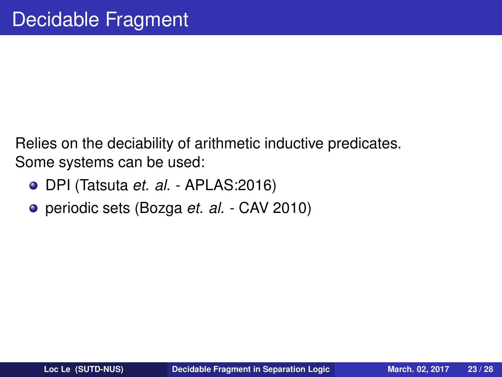Relies on the deciability of arithmetic inductive predicates. Some systems can be used:

- DPI (Tatsuta *et. al.* APLAS:2016)
- periodic sets (Bozga *et. al.* CAV 2010)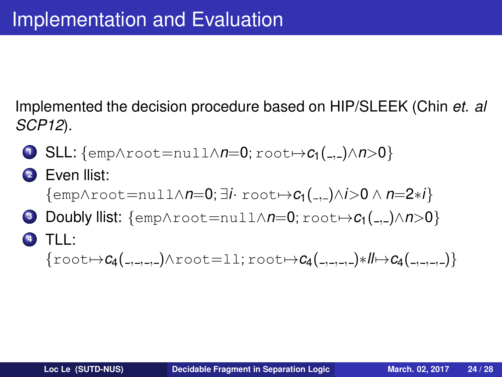Implemented the decision procedure based on HIP/SLEEK (Chin *et. al SCP12*).

- **<sup>1</sup>** SLL: {emp∧root=null∧*n*=0; root7→*c*1( , )∧*n*>0}
- **<sup>2</sup>** Even llist: {emp∧root=null∧*n*=0; ∃*i*· root7→*c*1( , )∧*i*>0 ∧ *n*=2∗*i*}
- **3** Doubly llist: {emp∧root=null∧*n*=0; root→*c*<sub>1</sub>(, )∧*n*>0}
- **<sup>4</sup>** TLL:

 $\{root \rightarrow C_4( \_,\_,\_,\_\}) \wedge root = 11; root \rightarrow C_4( \_,\_,\_,\_) * \#C_4( \_,\_,\_,\_)\}$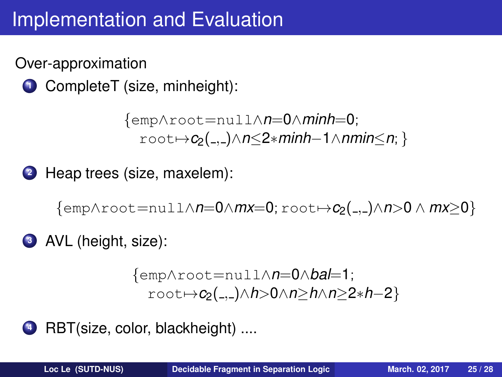Over-approximation

**1** CompleteT (size, minheight):

$$
\begin{array}{c}\{\text{emp} \wedge \text{root} = \text{null} \wedge n = 0 \wedge \text{min} \wedge = 0; \\ \text{root} \rightarrow c_2(.,.) \wedge n \le 2 * \text{min} \wedge -1 \wedge \text{min} \le n; \}\end{array}
$$

**<sup>2</sup>** Heap trees (size, maxelem):

{emp∧root=null∧*n*=0∧*mx*=0; root7→*c*2( , )∧*n*>0 ∧ *mx*≥0}

**<sup>3</sup>** AVL (height, size):

$$
\begin{matrix} \{emp \land \texttt{root=null} \land n=0 \land bal=1; \\ \texttt{root} \rightarrow c_2(.,.) \land h>0 \land n \geq h \land n \geq 2*h-2 \} \end{matrix}
$$

**<sup>4</sup>** RBT(size, color, blackheight) ....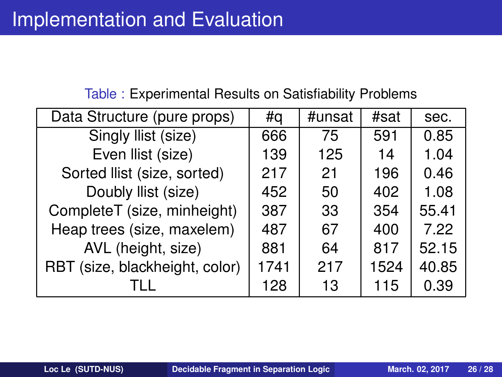#### Table : Experimental Results on Satisfiability Problems

| Data Structure (pure props)    | #q   | #unsat | #sat | sec.  |
|--------------------------------|------|--------|------|-------|
| Singly Ilist (size)            | 666  | 75     | 591  | 0.85  |
| Even Ilist (size)              | 139  | 125    | 14   | 1.04  |
| Sorted Ilist (size, sorted)    | 217  | 21     | 196  | 0.46  |
| Doubly Ilist (size)            | 452  | 50     | 402  | 1.08  |
| CompleteT (size, minheight)    | 387  | 33     | 354  | 55.41 |
| Heap trees (size, maxelem)     | 487  | 67     | 400  | 7.22  |
| AVL (height, size)             | 881  | 64     | 817  | 52.15 |
| RBT (size, blackheight, color) | 1741 | 217    | 1524 | 40.85 |
|                                | 128  | 13     | 115  | 0.39  |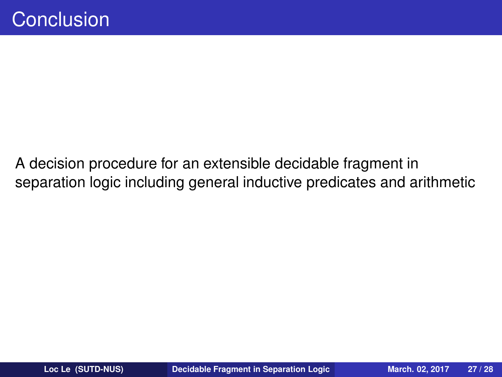A decision procedure for an extensible decidable fragment in separation logic including general inductive predicates and arithmetic